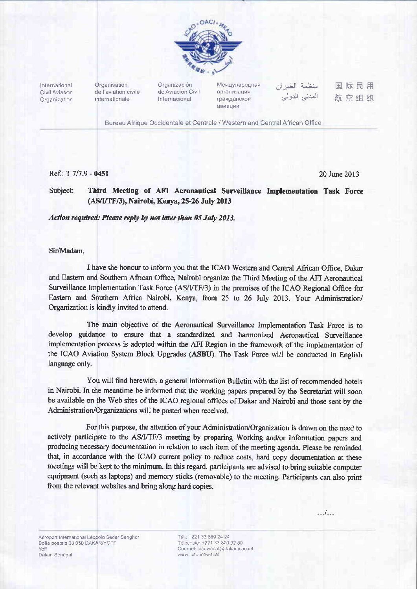

International Civil Aviation Organization Organisation de l'aviation civile internationale

Organización de Aviación Civil Internacional

Международная **организация** гражданской авиации

منظمة الطبران المعدني الدولي

国际民用 航空组织

Bureau Afrique Occidentale et Centrale / Western and Central African Office

# Ref: T 7/7.9 - 0451

20 June 2013

#### Subject: Third Meeting of AFI Aeronautical Surveillance Implementation Task Force (AS/I/TF/3), Nairobi, Kenya, 25-26 July 2013

## Action required: Please reply by not later than 05 July 2013.

#### Sir/Madam.

I have the honour to inform you that the ICAO Western and Central African Office, Dakar and Eastern and Southern African Office, Nairobi organize the Third Meeting of the AFI Aeronautical Surveillance Implementation Task Force (AS/I/TF/3) in the premises of the ICAO Regional Office for Eastern and Southern Africa Nairobi, Kenya, from 25 to 26 July 2013. Your Administration/ Organization is kindly invited to attend.

The main objective of the Aeronautical Surveillance Implementation Task Force is to develop guidance to ensure that a standardized and harmonized Aeronautical Surveillance implementation process is adopted within the AFI Region in the framework of the implementation of the ICAO Aviation System Block Upgrades (ASBU). The Task Force will be conducted in English language only.

You will find herewith, a general Information Bulletin with the list of recommended hotels in Nairobi. In the meantime be informed that the working papers prepared by the Secretariat will soon be available on the Web sites of the ICAO regional offices of Dakar and Nairobi and those sent by the Administration/Organizations will be posted when received.

For this purpose, the attention of your Administration/Organization is drawn on the need to actively participate to the AS/I/TF/3 meeting by preparing Working and/or Information papers and producing necessary documentation in relation to each item of the meeting agenda. Please be reminded that, in accordance with the ICAO current policy to reduce costs, hard copy documentation at these meetings will be kept to the minimum. In this regard, participants are advised to bring suitable computer equipment (such as laptops) and memory sticks (removable) to the meeting. Participants can also print from the relevant websites and bring along hard copies.

تتكت

Tél: +221 33 869 24 24 Télécopie: +221 33 820 32 59 Courriel: icaowacaf@dakar.icao int www.icao.int/wacaf